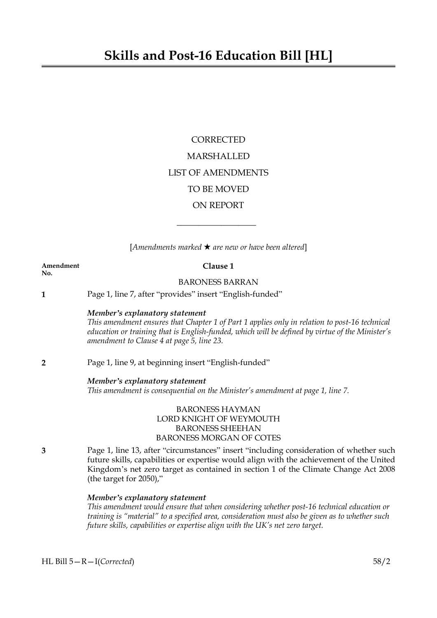# **CORRECTED** MARSHALLED LIST OF AMENDMENTS TO BE MOVED ON REPORT

[*Amendments marked* \* *are new or have been altered*]

 $\overline{\phantom{a}}$  , where  $\overline{\phantom{a}}$ 

| Amendment<br>No. | Clause 1                                                                                                                                                                                                                                                                                                       |
|------------------|----------------------------------------------------------------------------------------------------------------------------------------------------------------------------------------------------------------------------------------------------------------------------------------------------------------|
|                  | <b>BARONESS BARRAN</b>                                                                                                                                                                                                                                                                                         |
| 1                | Page 1, line 7, after "provides" insert "English-funded"                                                                                                                                                                                                                                                       |
|                  | Member's explanatory statement<br>This amendment ensures that Chapter 1 of Part 1 applies only in relation to post-16 technical<br>education or training that is English-funded, which will be defined by virtue of the Minister's<br>amendment to Clause 4 at page 5, line 23.                                |
| $\overline{2}$   | Page 1, line 9, at beginning insert "English-funded"                                                                                                                                                                                                                                                           |
|                  | Member's explanatory statement<br>This amendment is consequential on the Minister's amendment at page 1, line 7.                                                                                                                                                                                               |
|                  | <b>BARONESS HAYMAN</b><br>LORD KNIGHT OF WEYMOUTH<br><b>BARONESS SHEEHAN</b><br><b>BARONESS MORGAN OF COTES</b>                                                                                                                                                                                                |
| 3                | Page 1, line 13, after "circumstances" insert "including consideration of whether such<br>future skills, capabilities or expertise would align with the achievement of the United<br>Kingdom's net zero target as contained in section 1 of the Climate Change Act 2008<br>(the target for 2050),"             |
|                  | Member's explanatory statement<br>This amendment would ensure that when considering whether post-16 technical education or<br>training is "material" to a specified area, consideration must also be given as to whether such<br>future skills, capabilities or expertise align with the UK's net zero target. |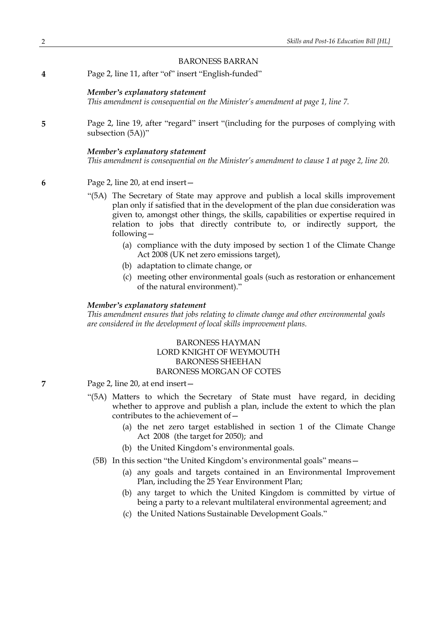# BARONESS BARRAN

**4** Page 2, line 11, after "of" insert "English-funded"

#### *Member's explanatory statement*

*This amendment is consequential on the Minister's amendment at page 1, line 7.*

**5** Page 2, line 19, after "regard" insert "(including for the purposes of complying with subsection (5A))"

#### *Member's explanatory statement*

*This amendment is consequential on the Minister's amendment to clause 1 at page 2, line 20.*

- **6** Page 2, line 20, at end insert—
	- "(5A) The Secretary of State may approve and publish a local skills improvement plan only if satisfied that in the development of the plan due consideration was given to, amongst other things, the skills, capabilities or expertise required in relation to jobs that directly contribute to, or indirectly support, the following—
		- (a) compliance with the duty imposed by section 1 of the Climate Change Act 2008 (UK net zero emissions target),
		- (b) adaptation to climate change, or
		- (c) meeting other environmental goals (such as restoration or enhancement of the natural environment)."

# *Member's explanatory statement*

*This amendment ensures that jobs relating to climate change and other environmental goals are considered in the development of local skills improvement plans.*

# BARONESS HAYMAN LORD KNIGHT OF WEYMOUTH BARONESS SHEEHAN BARONESS MORGAN OF COTES

- **7** Page 2, line 20, at end insert—
	- "(5A) Matters to which the Secretary of State must have regard, in deciding whether to approve and publish a plan, include the extent to which the plan contributes to the achievement of  $-$ 
		- (a) the net zero target established in section 1 of the Climate Change Act 2008 (the target for 2050); and
		- (b) the United Kingdom's environmental goals.
		- (5B) In this section "the United Kingdom's environmental goals" means—
			- (a) any goals and targets contained in an Environmental Improvement Plan, including the 25 Year Environment Plan;
			- (b) any target to which the United Kingdom is committed by virtue of being a party to a relevant multilateral environmental agreement; and
			- (c) the United Nations Sustainable Development Goals."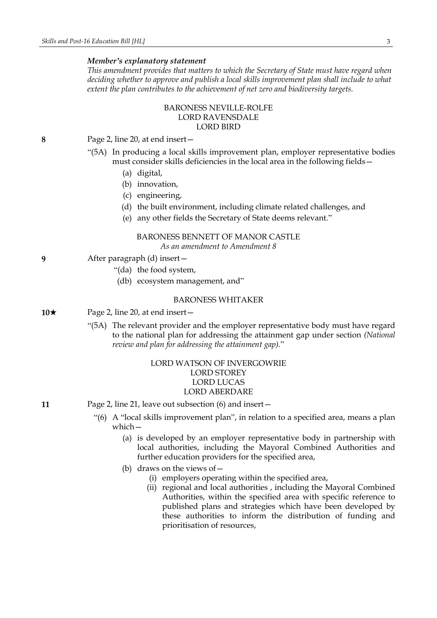*This amendment provides that matters to which the Secretary of State must have regard when deciding whether to approve and publish a local skills improvement plan shall include to what extent the plan contributes to the achievement of net zero and biodiversity targets.*

# BARONESS NEVILLE-ROLFE LORD RAVENSDALE LORD BIRD

**8** Page 2, line 20, at end insert—

- "(5A) In producing a local skills improvement plan, employer representative bodies must consider skills deficiencies in the local area in the following fields—
	- (a) digital,
	- (b) innovation,
	- (c) engineering,
	- (d) the built environment, including climate related challenges, and
	- (e) any other fields the Secretary of State deems relevant."

### BARONESS BENNETT OF MANOR CASTLE *As an amendment to Amendment 8*

- **9** After paragraph (d) insert—
	- "(da) the food system,
	- (db) ecosystem management, and"

#### BARONESS WHITAKER

- **10**★ Page 2, line 20, at end insert
	- "(5A) The relevant provider and the employer representative body must have regard to the national plan for addressing the attainment gap under section *(National review and plan for addressing the attainment gap)*."

# LORD WATSON OF INVERGOWRIE LORD STOREY LORD LUCAS LORD ABERDARE

- **11** Page 2, line 21, leave out subsection (6) and insert—
	- "(6) A "local skills improvement plan", in relation to a specified area, means a plan which—
		- (a) is developed by an employer representative body in partnership with local authorities, including the Mayoral Combined Authorities and further education providers for the specified area,
		- (b) draws on the views of  $-$ 
			- (i) employers operating within the specified area,
			- (ii) regional and local authorities , including the Mayoral Combined Authorities, within the specified area with specific reference to published plans and strategies which have been developed by these authorities to inform the distribution of funding and prioritisation of resources,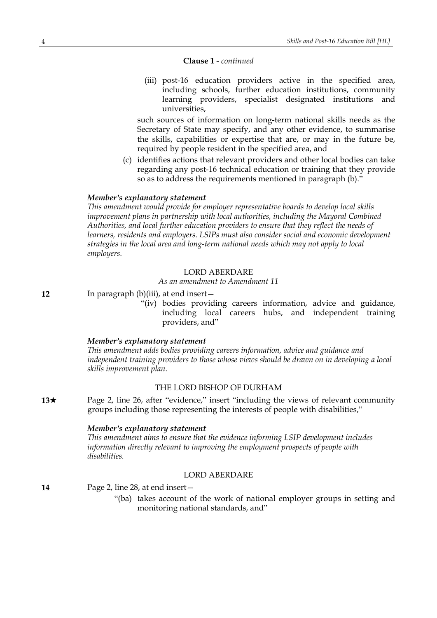# **Clause 1** *- continued*

(iii) post-16 education providers active in the specified area, including schools, further education institutions, community learning providers, specialist designated institutions and universities,

such sources of information on long-term national skills needs as the Secretary of State may specify, and any other evidence, to summarise the skills, capabilities or expertise that are, or may in the future be, required by people resident in the specified area, and

(c) identifies actions that relevant providers and other local bodies can take regarding any post-16 technical education or training that they provide so as to address the requirements mentioned in paragraph (b)."

#### *Member's explanatory statement*

*This amendment would provide for employer representative boards to develop local skills improvement plans in partnership with local authorities, including the Mayoral Combined Authorities, and local further education providers to ensure that they reflect the needs of learners, residents and employers. LSIPs must also consider social and economic development strategies in the local area and long-term national needs which may not apply to local employers.*

# LORD ABERDARE

*As an amendment to Amendment 11*

**12** In paragraph (b)(iii), at end insert—

"(iv) bodies providing careers information, advice and guidance, including local careers hubs, and independent training providers, and"

#### *Member's explanatory statement*

*This amendment adds bodies providing careers information, advice and guidance and independent training providers to those whose views should be drawn on in developing a local skills improvement plan.*

#### THE LORD BISHOP OF DURHAM

**13**★ Page 2, line 26, after "evidence," insert "including the views of relevant community groups including those representing the interests of people with disabilities,"

#### *Member's explanatory statement*

*This amendment aims to ensure that the evidence informing LSIP development includes information directly relevant to improving the employment prospects of people with disabilities.*

#### LORD ABERDARE

**14** Page 2, line 28, at end insert—

"(ba) takes account of the work of national employer groups in setting and monitoring national standards, and"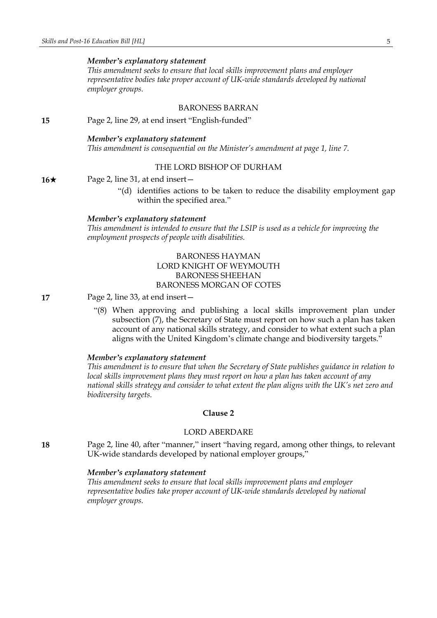*This amendment seeks to ensure that local skills improvement plans and employer representative bodies take proper account of UK-wide standards developed by national employer groups.*

# BARONESS BARRAN

**15** Page 2, line 29, at end insert "English-funded"

### *Member's explanatory statement*

*This amendment is consequential on the Minister's amendment at page 1, line 7.*

# THE LORD BISHOP OF DURHAM

**16**★ Page 2, line 31, at end insert —

"(d) identifies actions to be taken to reduce the disability employment gap within the specified area."

#### *Member's explanatory statement*

*This amendment is intended to ensure that the LSIP is used as a vehicle for improving the employment prospects of people with disabilities.*

# BARONESS HAYMAN LORD KNIGHT OF WEYMOUTH BARONESS SHEEHAN BARONESS MORGAN OF COTES

**17** Page 2, line 33, at end insert—

"(8) When approving and publishing a local skills improvement plan under subsection (7), the Secretary of State must report on how such a plan has taken account of any national skills strategy, and consider to what extent such a plan aligns with the United Kingdom's climate change and biodiversity targets."

### *Member's explanatory statement*

*This amendment is to ensure that when the Secretary of State publishes guidance in relation to local skills improvement plans they must report on how a plan has taken account of any national skills strategy and consider to what extent the plan aligns with the UK's net zero and biodiversity targets.*

# **Clause 2**

### LORD ABERDARE

**18** Page 2, line 40, after "manner," insert "having regard, among other things, to relevant UK-wide standards developed by national employer groups,"

### *Member's explanatory statement*

*This amendment seeks to ensure that local skills improvement plans and employer representative bodies take proper account of UK-wide standards developed by national employer groups.*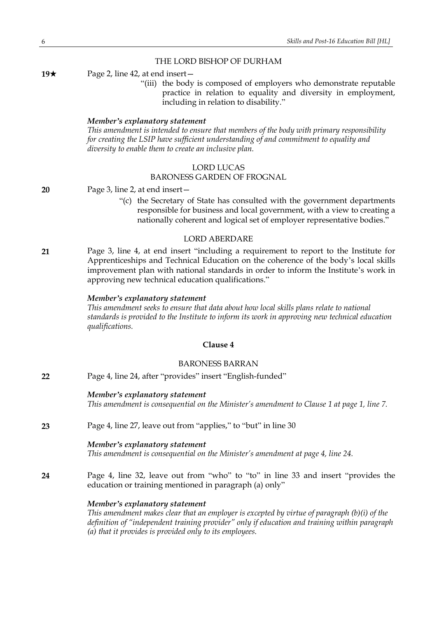# THE LORD BISHOP OF DURHAM

**19**★ Page 2, line 42, at end insert —

"(iii) the body is composed of employers who demonstrate reputable practice in relation to equality and diversity in employment, including in relation to disability."

### *Member's explanatory statement*

*This amendment is intended to ensure that members of the body with primary responsibility for creating the LSIP have sufficient understanding of and commitment to equality and diversity to enable them to create an inclusive plan.*

# LORD LUCAS

# BARONESS GARDEN OF FROGNAL

**20** Page 3, line 2, at end insert—

"(c) the Secretary of State has consulted with the government departments responsible for business and local government, with a view to creating a nationally coherent and logical set of employer representative bodies."

### LORD ABERDARE

**21** Page 3, line 4, at end insert "including a requirement to report to the Institute for Apprenticeships and Technical Education on the coherence of the body's local skills improvement plan with national standards in order to inform the Institute's work in approving new technical education qualifications."

#### *Member's explanatory statement*

*This amendment seeks to ensure that data about how local skills plans relate to national standards is provided to the Institute to inform its work in approving new technical education qualifications.*

# **Clause 4**

# BARONESS BARRAN

| 22 | Page 4, line 24, after "provides" insert "English-funded"                                                                                   |
|----|---------------------------------------------------------------------------------------------------------------------------------------------|
|    | Member's explanatory statement<br>This amendment is consequential on the Minister's amendment to Clause 1 at page 1, line 7.                |
| 23 | Page 4, line 27, leave out from "applies," to "but" in line 30                                                                              |
|    | Member's explanatory statement<br>This amendment is consequential on the Minister's amendment at page 4, line 24.                           |
| 24 | Page 4, line 32, leave out from "who" to "to" in line 33 and insert "provides the<br>education or training mentioned in paragraph (a) only" |
|    | Member's explanatory statement<br>This amendment makes clear that an employer is excepted by virtue of paragraph $(b)(i)$ of the            |

*definition of "independent training provider" only if education and training within paragraph (a) that it provides is provided only to its employees.*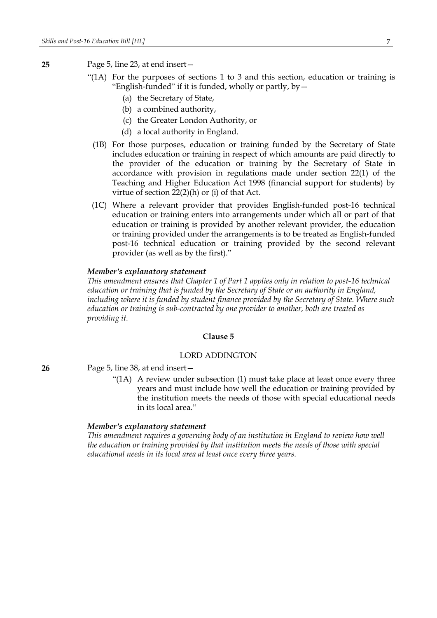- **25** Page 5, line 23, at end insert—
	- "(1A) For the purposes of sections 1 to 3 and this section, education or training is "English-funded" if it is funded, wholly or partly,  $by -$ 
		- (a) the Secretary of State,
		- (b) a combined authority,
		- (c) the Greater London Authority, or
		- (d) a local authority in England.
	- (1B) For those purposes, education or training funded by the Secretary of State includes education or training in respect of which amounts are paid directly to the provider of the education or training by the Secretary of State in accordance with provision in regulations made under section 22(1) of the Teaching and Higher Education Act 1998 (financial support for students) by virtue of section 22(2)(h) or (i) of that Act.
	- (1C) Where a relevant provider that provides English-funded post-16 technical education or training enters into arrangements under which all or part of that education or training is provided by another relevant provider, the education or training provided under the arrangements is to be treated as English-funded post-16 technical education or training provided by the second relevant provider (as well as by the first)."

*This amendment ensures that Chapter 1 of Part 1 applies only in relation to post-16 technical education or training that is funded by the Secretary of State or an authority in England, including where it is funded by student finance provided by the Secretary of State. Where such education or training is sub-contracted by one provider to another, both are treated as providing it.*

#### **Clause 5**

#### LORD ADDINGTON

- **26** Page 5, line 38, at end insert—
	- "(1A) A review under subsection (1) must take place at least once every three years and must include how well the education or training provided by the institution meets the needs of those with special educational needs in its local area."

#### *Member's explanatory statement*

*This amendment requires a governing body of an institution in England to review how well the education or training provided by that institution meets the needs of those with special educational needs in its local area at least once every three years.*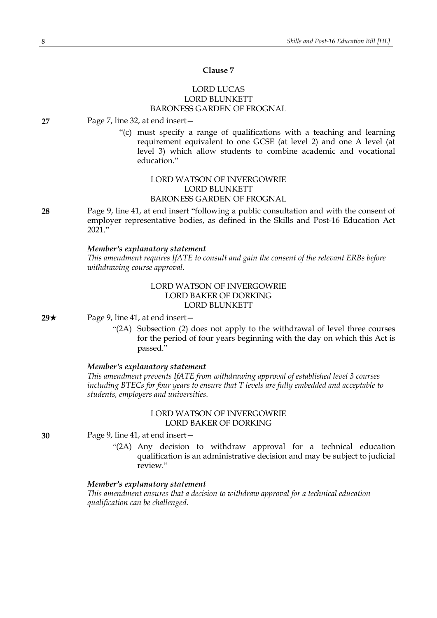# **Clause 7**

# LORD LUCAS LORD BLUNKETT BARONESS GARDEN OF FROGNAL

#### **27** Page 7, line 32, at end insert—

"(c) must specify a range of qualifications with a teaching and learning requirement equivalent to one GCSE (at level 2) and one A level (at level 3) which allow students to combine academic and vocational education."

# LORD WATSON OF INVERGOWRIE LORD BLUNKETT BARONESS GARDEN OF FROGNAL

**28** Page 9, line 41, at end insert "following a public consultation and with the consent of employer representative bodies, as defined in the Skills and Post-16 Education Act 2021."

### *Member's explanatory statement*

*This amendment requires IfATE to consult and gain the consent of the relevant ERBs before withdrawing course approval.*

# LORD WATSON OF INVERGOWRIE LORD BAKER OF DORKING LORD BLUNKETT

**29**★ Page 9, line 41, at end insert —

"(2A) Subsection (2) does not apply to the withdrawal of level three courses for the period of four years beginning with the day on which this Act is passed."

# *Member's explanatory statement*

*This amendment prevents IfATE from withdrawing approval of established level 3 courses including BTECs for four years to ensure that T levels are fully embedded and acceptable to students, employers and universities.*

# LORD WATSON OF INVERGOWRIE LORD BAKER OF DORKING

**30** Page 9, line 41, at end insert—

"(2A) Any decision to withdraw approval for a technical education qualification is an administrative decision and may be subject to judicial review."

### *Member's explanatory statement*

*This amendment ensures that a decision to withdraw approval for a technical education qualification can be challenged.*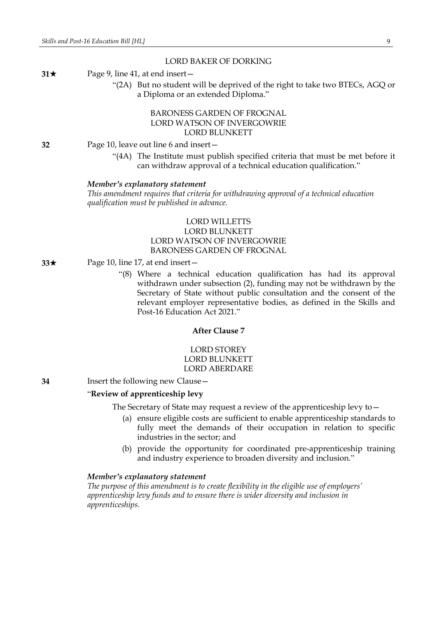### LORD BAKER OF DORKING

#### **31** $\star$  Page 9, line 41, at end insert –

"(2A) But no student will be deprived of the right to take two BTECs, AGQ or a Diploma or an extended Diploma."

# BARONESS GARDEN OF FROGNAL LORD WATSON OF INVERGOWRIE LORD BLUNKETT

**32** Page 10, leave out line 6 and insert—

"(4A) The Institute must publish specified criteria that must be met before it can withdraw approval of a technical education qualification."

#### *Member's explanatory statement*

*This amendment requires that criteria for withdrawing approval of a technical education qualification must be published in advance.*

# LORD WILLETTS LORD BLUNKETT LORD WATSON OF INVERGOWRIE BARONESS GARDEN OF FROGNAL

### **33**★ Page 10, line 17, at end insert —

"(8) Where a technical education qualification has had its approval withdrawn under subsection (2), funding may not be withdrawn by the Secretary of State without public consultation and the consent of the relevant employer representative bodies, as defined in the Skills and Post-16 Education Act 2021."

# **After Clause 7**

# LORD STOREY LORD BLUNKETT LORD ABERDARE

**34** Insert the following new Clause—

#### "**Review of apprenticeship levy**

The Secretary of State may request a review of the apprenticeship levy to—

- (a) ensure eligible costs are sufficient to enable apprenticeship standards to fully meet the demands of their occupation in relation to specific industries in the sector; and
- (b) provide the opportunity for coordinated pre-apprenticeship training and industry experience to broaden diversity and inclusion."

#### *Member's explanatory statement*

*The purpose of this amendment is to create flexibility in the eligible use of employers' apprenticeship levy funds and to ensure there is wider diversity and inclusion in apprenticeships.*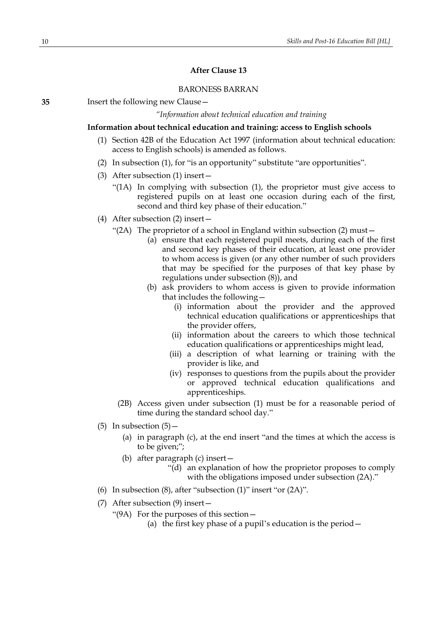# **After Clause 13**

### BARONESS BARRAN

*"Information about technical education and training*

### **Information about technical education and training: access to English schools**

- (1) Section 42B of the Education Act 1997 (information about technical education: access to English schools) is amended as follows.
- (2) In subsection (1), for "is an opportunity" substitute "are opportunities".
- (3) After subsection (1) insert—
	- "(1A) In complying with subsection (1), the proprietor must give access to registered pupils on at least one occasion during each of the first, second and third key phase of their education."
- (4) After subsection (2) insert—
	- "(2A) The proprietor of a school in England within subsection (2) must—
		- (a) ensure that each registered pupil meets, during each of the first and second key phases of their education, at least one provider to whom access is given (or any other number of such providers that may be specified for the purposes of that key phase by regulations under subsection (8)), and
		- (b) ask providers to whom access is given to provide information that includes the following—
			- (i) information about the provider and the approved technical education qualifications or apprenticeships that the provider offers,
			- (ii) information about the careers to which those technical education qualifications or apprenticeships might lead,
			- (iii) a description of what learning or training with the provider is like, and
			- (iv) responses to questions from the pupils about the provider or approved technical education qualifications and apprenticeships.
		- (2B) Access given under subsection (1) must be for a reasonable period of time during the standard school day."
- (5) In subsection  $(5)$ 
	- (a) in paragraph (c), at the end insert "and the times at which the access is to be given;";
	- (b) after paragraph (c) insert—
		- "(d) an explanation of how the proprietor proposes to comply with the obligations imposed under subsection (2A)."
- (6) In subsection (8), after "subsection (1)" insert "or (2A)".
- (7) After subsection (9) insert—
	- "(9A) For the purposes of this section—
		- (a) the first key phase of a pupil's education is the period—

**<sup>35</sup>** Insert the following new Clause—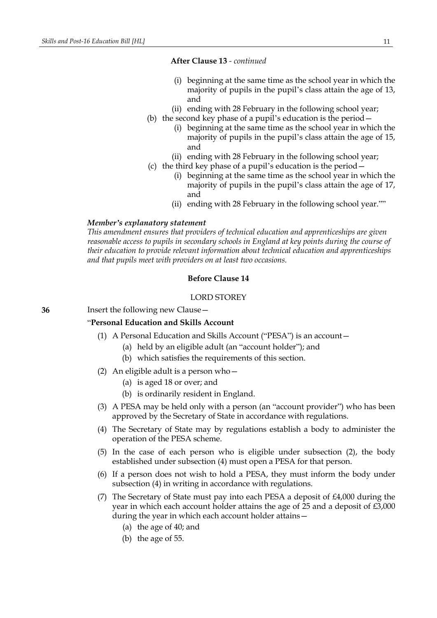### **After Clause 13** *- continued*

- (i) beginning at the same time as the school year in which the majority of pupils in the pupil's class attain the age of 13, and
- (ii) ending with 28 February in the following school year;
- (b) the second key phase of a pupil's education is the period—
	- (i) beginning at the same time as the school year in which the majority of pupils in the pupil's class attain the age of 15, and
	- (ii) ending with 28 February in the following school year;
- (c) the third key phase of a pupil's education is the period—
	- (i) beginning at the same time as the school year in which the majority of pupils in the pupil's class attain the age of 17, and
	- (ii) ending with 28 February in the following school year.""

#### *Member's explanatory statement*

*This amendment ensures that providers of technical education and apprenticeships are given reasonable access to pupils in secondary schools in England at key points during the course of their education to provide relevant information about technical education and apprenticeships and that pupils meet with providers on at least two occasions.*

# **Before Clause 14**

### LORD STOREY

**36** Insert the following new Clause—

#### "**Personal Education and Skills Account**

- (1) A Personal Education and Skills Account ("PESA") is an account—
	- (a) held by an eligible adult (an "account holder"); and
	- (b) which satisfies the requirements of this section.
- (2) An eligible adult is a person who—
	- (a) is aged 18 or over; and
	- (b) is ordinarily resident in England.
- (3) A PESA may be held only with a person (an "account provider") who has been approved by the Secretary of State in accordance with regulations.
- (4) The Secretary of State may by regulations establish a body to administer the operation of the PESA scheme.
- (5) In the case of each person who is eligible under subsection (2), the body established under subsection (4) must open a PESA for that person.
- (6) If a person does not wish to hold a PESA, they must inform the body under subsection (4) in writing in accordance with regulations.
- (7) The Secretary of State must pay into each PESA a deposit of £4,000 during the year in which each account holder attains the age of 25 and a deposit of £3,000 during the year in which each account holder attains—
	- (a) the age of 40; and
	- (b) the age of 55.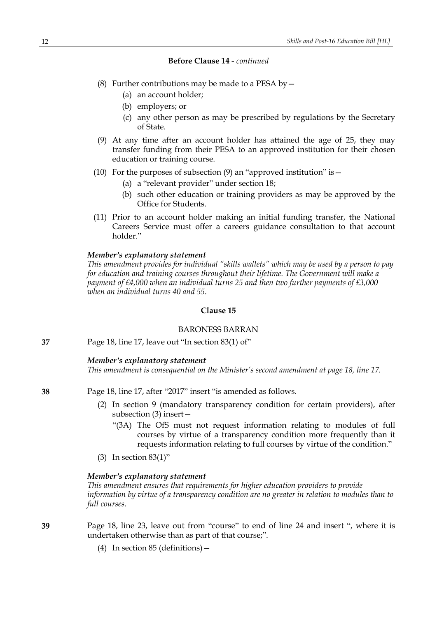- (8) Further contributions may be made to a PESA by  $-$ 
	- (a) an account holder;
	- (b) employers; or
	- (c) any other person as may be prescribed by regulations by the Secretary of State.
- (9) At any time after an account holder has attained the age of 25, they may transfer funding from their PESA to an approved institution for their chosen education or training course.
- (10) For the purposes of subsection (9) an "approved institution" is  $-$ 
	- (a) a "relevant provider" under section 18;
	- (b) such other education or training providers as may be approved by the Office for Students.
- (11) Prior to an account holder making an initial funding transfer, the National Careers Service must offer a careers guidance consultation to that account holder."

#### *Member's explanatory statement*

*This amendment provides for individual "skills wallets" which may be used by a person to pay for education and training courses throughout their lifetime. The Government will make a payment of £4,000 when an individual turns 25 and then two further payments of £3,000 when an individual turns 40 and 55.*

#### **Clause 15**

#### BARONESS BARRAN

**37** Page 18, line 17, leave out "In section 83(1) of"

#### *Member's explanatory statement*

*This amendment is consequential on the Minister's second amendment at page 18, line 17.*

**38** Page 18, line 17, after "2017" insert "is amended as follows.

- (2) In section 9 (mandatory transparency condition for certain providers), after subsection (3) insert—
	- "(3A) The OfS must not request information relating to modules of full courses by virtue of a transparency condition more frequently than it requests information relating to full courses by virtue of the condition."
- (3) In section 83(1)"

#### *Member's explanatory statement*

*This amendment ensures that requirements for higher education providers to provide information by virtue of a transparency condition are no greater in relation to modules than to full courses.*

- **39** Page 18, line 23, leave out from "course" to end of line 24 and insert ", where it is undertaken otherwise than as part of that course;".
	- (4) In section 85 (definitions)—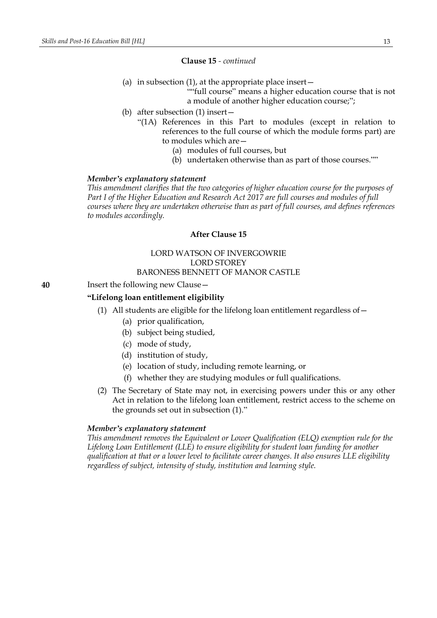#### **Clause 15** *- continued*

(a) in subsection  $(1)$ , at the appropriate place insert  $-$ 

""full course" means a higher education course that is not a module of another higher education course;";

- (b) after subsection (1) insert—
	- "(1A) References in this Part to modules (except in relation to references to the full course of which the module forms part) are to modules which are—
		- (a) modules of full courses, but
		- (b) undertaken otherwise than as part of those courses.""

#### *Member's explanatory statement*

*This amendment clarifies that the two categories of higher education course for the purposes of Part I of the Higher Education and Research Act 2017 are full courses and modules of full courses where they are undertaken otherwise than as part of full courses, and defines references to modules accordingly.*

# **After Clause 15**

# LORD WATSON OF INVERGOWRIE LORD STOREY BARONESS BENNETT OF MANOR CASTLE

**40** Insert the following new Clause—

### **"Lifelong loan entitlement eligibility**

- (1) All students are eligible for the lifelong loan entitlement regardless of—
	- (a) prior qualification,
	- (b) subject being studied,
	- (c) mode of study,
	- (d) institution of study,
	- (e) location of study, including remote learning, or
	- (f) whether they are studying modules or full qualifications.
- (2) The Secretary of State may not, in exercising powers under this or any other Act in relation to the lifelong loan entitlement, restrict access to the scheme on the grounds set out in subsection (1)."

# *Member's explanatory statement*

*This amendment removes the Equivalent or Lower Qualification (ELQ) exemption rule for the Lifelong Loan Entitlement (LLE) to ensure eligibility for student loan funding for another qualification at that or a lower level to facilitate career changes. It also ensures LLE eligibility regardless of subject, intensity of study, institution and learning style.*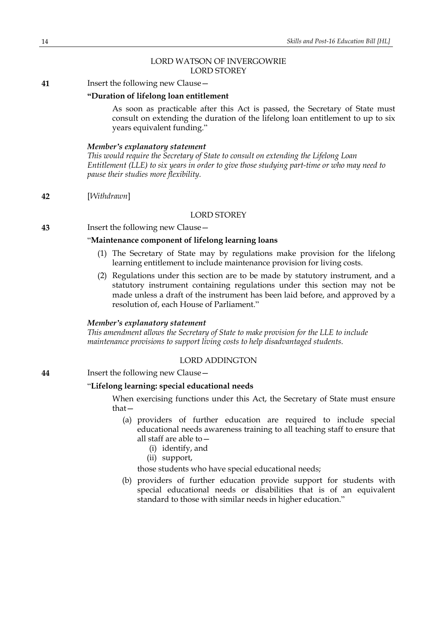# LORD WATSON OF INVERGOWRIE LORD STOREY

**41** Insert the following new Clause—

### **"Duration of lifelong loan entitlement**

As soon as practicable after this Act is passed, the Secretary of State must consult on extending the duration of the lifelong loan entitlement to up to six years equivalent funding."

#### *Member's explanatory statement*

*This would require the Secretary of State to consult on extending the Lifelong Loan Entitlement (LLE) to six years in order to give those studying part-time or who may need to pause their studies more flexibility.*

**42** [*Withdrawn*]

# LORD STOREY

**43** Insert the following new Clause—

# "**Maintenance component of lifelong learning loans**

- (1) The Secretary of State may by regulations make provision for the lifelong learning entitlement to include maintenance provision for living costs.
- (2) Regulations under this section are to be made by statutory instrument, and a statutory instrument containing regulations under this section may not be made unless a draft of the instrument has been laid before, and approved by a resolution of, each House of Parliament."

#### *Member's explanatory statement*

*This amendment allows the Secretary of State to make provision for the LLE to include maintenance provisions to support living costs to help disadvantaged students.*

### LORD ADDINGTON

**44** Insert the following new Clause—

### "**Lifelong learning: special educational needs**

When exercising functions under this Act, the Secretary of State must ensure that—

- (a) providers of further education are required to include special educational needs awareness training to all teaching staff to ensure that all staff are able to—
	- (i) identify, and
	- (ii) support,

those students who have special educational needs;

(b) providers of further education provide support for students with special educational needs or disabilities that is of an equivalent standard to those with similar needs in higher education."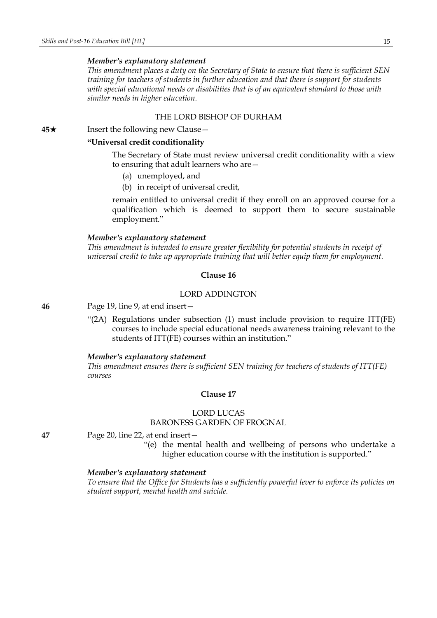*This amendment places a duty on the Secretary of State to ensure that there is sufficient SEN training for teachers of students in further education and that there is support for students with special educational needs or disabilities that is of an equivalent standard to those with similar needs in higher education.*

### THE LORD BISHOP OF DURHAM

**45**★ Insert the following new Clause

# **"Universal credit conditionality**

The Secretary of State must review universal credit conditionality with a view to ensuring that adult learners who are—

- (a) unemployed, and
- (b) in receipt of universal credit,

remain entitled to universal credit if they enroll on an approved course for a qualification which is deemed to support them to secure sustainable employment."

#### *Member's explanatory statement*

*This amendment is intended to ensure greater flexibility for potential students in receipt of universal credit to take up appropriate training that will better equip them for employment.*

### **Clause 16**

# LORD ADDINGTON

**46** Page 19, line 9, at end insert—

"(2A) Regulations under subsection (1) must include provision to require ITT(FE) courses to include special educational needs awareness training relevant to the students of ITT(FE) courses within an institution."

#### *Member's explanatory statement*

*This amendment ensures there is sufficient SEN training for teachers of students of ITT(FE) courses*

### **Clause 17**

### LORD LUCAS

BARONESS GARDEN OF FROGNAL

**47** Page 20, line 22, at end insert—

"(e) the mental health and wellbeing of persons who undertake a higher education course with the institution is supported."

#### *Member's explanatory statement*

*To ensure that the Office for Students has a sufficiently powerful lever to enforce its policies on student support, mental health and suicide.*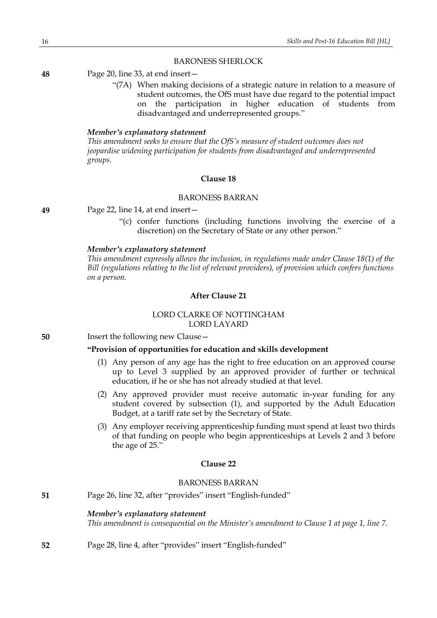#### BARONESS SHERLOCK

**48** Page 20, line 33, at end insert—

"(7A) When making decisions of a strategic nature in relation to a measure of student outcomes, the OfS must have due regard to the potential impact on the participation in higher education of students from disadvantaged and underrepresented groups."

### *Member's explanatory statement*

*This amendment seeks to ensure that the OfS's measure of student outcomes does not jeopardise widening participation for students from disadvantaged and underrepresented groups.*

#### **Clause 18**

# BARONESS BARRAN

**49** Page 22, line 14, at end insert—

"(c) confer functions (including functions involving the exercise of a discretion) on the Secretary of State or any other person."

#### *Member's explanatory statement*

*This amendment expressly allows the inclusion, in regulations made under Clause 18(1) of the Bill (regulations relating to the list of relevant providers), of provision which confers functions on a person.*

### **After Clause 21**

# LORD CLARKE OF NOTTINGHAM LORD LAYARD

**50** Insert the following new Clause—

# **"Provision of opportunities for education and skills development**

- (1) Any person of any age has the right to free education on an approved course up to Level 3 supplied by an approved provider of further or technical education, if he or she has not already studied at that level.
- (2) Any approved provider must receive automatic in-year funding for any student covered by subsection (1), and supported by the Adult Education Budget, at a tariff rate set by the Secretary of State.
- (3) Any employer receiving apprenticeship funding must spend at least two thirds of that funding on people who begin apprenticeships at Levels 2 and 3 before the age of 25."

# **Clause 22**

# BARONESS BARRAN

**51** Page 26, line 32, after "provides" insert "English-funded"

#### *Member's explanatory statement*

*This amendment is consequential on the Minister's amendment to Clause 1 at page 1, line 7.*

**52** Page 28, line 4, after "provides" insert "English-funded"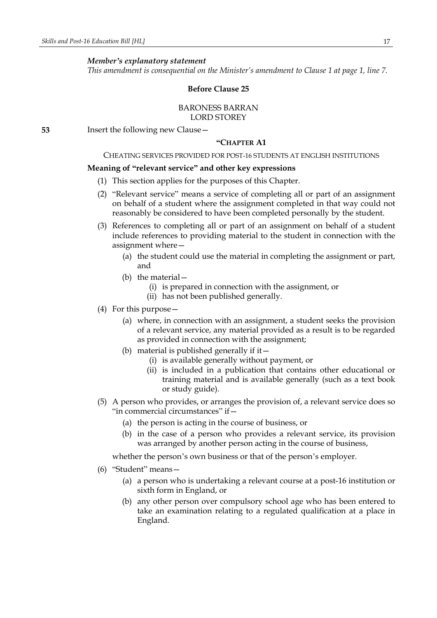*This amendment is consequential on the Minister's amendment to Clause 1 at page 1, line 7.*

#### **Before Clause 25**

### BARONESS BARRAN LORD STOREY

**53** Insert the following new Clause—

#### **"CHAPTER A1**

# CHEATING SERVICES PROVIDED FOR POST-16 STUDENTS AT ENGLISH INSTITUTIONS

#### **Meaning of "relevant service" and other key expressions**

- (1) This section applies for the purposes of this Chapter.
- (2) "Relevant service" means a service of completing all or part of an assignment on behalf of a student where the assignment completed in that way could not reasonably be considered to have been completed personally by the student.
- (3) References to completing all or part of an assignment on behalf of a student include references to providing material to the student in connection with the assignment where—
	- (a) the student could use the material in completing the assignment or part, and
	- (b) the material—
		- (i) is prepared in connection with the assignment, or
		- (ii) has not been published generally.
- (4) For this purpose—
	- (a) where, in connection with an assignment, a student seeks the provision of a relevant service, any material provided as a result is to be regarded as provided in connection with the assignment;
	- (b) material is published generally if it—
		- (i) is available generally without payment, or
		- (ii) is included in a publication that contains other educational or training material and is available generally (such as a text book or study guide).
- (5) A person who provides, or arranges the provision of, a relevant service does so "in commercial circumstances" if—
	- (a) the person is acting in the course of business, or
	- (b) in the case of a person who provides a relevant service, its provision was arranged by another person acting in the course of business,

whether the person's own business or that of the person's employer.

- (6) "Student" means—
	- (a) a person who is undertaking a relevant course at a post-16 institution or sixth form in England, or
	- (b) any other person over compulsory school age who has been entered to take an examination relating to a regulated qualification at a place in England.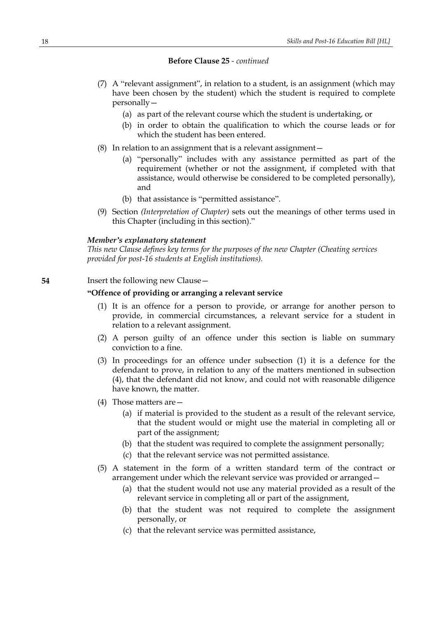- (7) A "relevant assignment", in relation to a student, is an assignment (which may have been chosen by the student) which the student is required to complete personally—
	- (a) as part of the relevant course which the student is undertaking, or
	- (b) in order to obtain the qualification to which the course leads or for which the student has been entered.
- (8) In relation to an assignment that is a relevant assignment—
	- (a) "personally" includes with any assistance permitted as part of the requirement (whether or not the assignment, if completed with that assistance, would otherwise be considered to be completed personally), and
	- (b) that assistance is "permitted assistance".
- (9) Section *(Interpretation of Chapter)* sets out the meanings of other terms used in this Chapter (including in this section)."

#### *Member's explanatory statement*

*This new Clause defines key terms for the purposes of the new Chapter (Cheating services provided for post-16 students at English institutions).*

# **54** Insert the following new Clause—

# **"Offence of providing or arranging a relevant service**

- (1) It is an offence for a person to provide, or arrange for another person to provide, in commercial circumstances, a relevant service for a student in relation to a relevant assignment.
- (2) A person guilty of an offence under this section is liable on summary conviction to a fine.
- (3) In proceedings for an offence under subsection (1) it is a defence for the defendant to prove, in relation to any of the matters mentioned in subsection (4), that the defendant did not know, and could not with reasonable diligence have known, the matter.
- (4) Those matters are—
	- (a) if material is provided to the student as a result of the relevant service, that the student would or might use the material in completing all or part of the assignment;
	- (b) that the student was required to complete the assignment personally;
	- (c) that the relevant service was not permitted assistance.
- (5) A statement in the form of a written standard term of the contract or arrangement under which the relevant service was provided or arranged—
	- (a) that the student would not use any material provided as a result of the relevant service in completing all or part of the assignment,
	- (b) that the student was not required to complete the assignment personally, or
	- (c) that the relevant service was permitted assistance,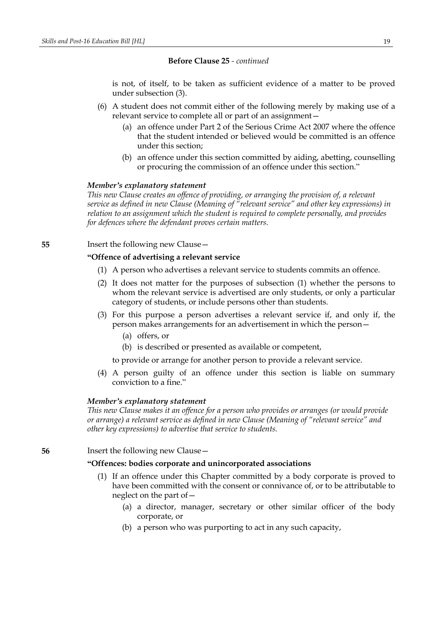is not, of itself, to be taken as sufficient evidence of a matter to be proved under subsection (3).

- (6) A student does not commit either of the following merely by making use of a relevant service to complete all or part of an assignment—
	- (a) an offence under Part 2 of the Serious Crime Act 2007 where the offence that the student intended or believed would be committed is an offence under this section;
	- (b) an offence under this section committed by aiding, abetting, counselling or procuring the commission of an offence under this section."

### *Member's explanatory statement*

*This new Clause creates an offence of providing, or arranging the provision of, a relevant service as defined in new Clause (Meaning of "relevant service" and other key expressions) in relation to an assignment which the student is required to complete personally, and provides for defences where the defendant proves certain matters.*

**55** Insert the following new Clause—

### **"Offence of advertising a relevant service**

- (1) A person who advertises a relevant service to students commits an offence.
- (2) It does not matter for the purposes of subsection (1) whether the persons to whom the relevant service is advertised are only students, or only a particular category of students, or include persons other than students.
- (3) For this purpose a person advertises a relevant service if, and only if, the person makes arrangements for an advertisement in which the person—
	- (a) offers, or
	- (b) is described or presented as available or competent,

to provide or arrange for another person to provide a relevant service.

(4) A person guilty of an offence under this section is liable on summary conviction to a fine."

#### *Member's explanatory statement*

*This new Clause makes it an offence for a person who provides or arranges (or would provide or arrange) a relevant service as defined in new Clause (Meaning of "relevant service" and other key expressions) to advertise that service to students.*

**56** Insert the following new Clause—

### **"Offences: bodies corporate and unincorporated associations**

- (1) If an offence under this Chapter committed by a body corporate is proved to have been committed with the consent or connivance of, or to be attributable to neglect on the part of—
	- (a) a director, manager, secretary or other similar officer of the body corporate, or
	- (b) a person who was purporting to act in any such capacity,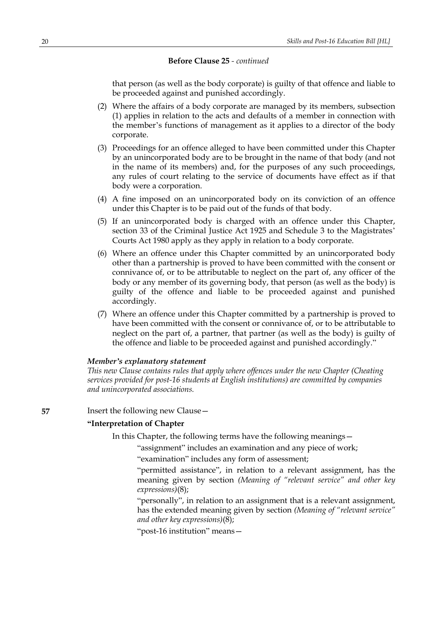that person (as well as the body corporate) is guilty of that offence and liable to be proceeded against and punished accordingly.

- (2) Where the affairs of a body corporate are managed by its members, subsection (1) applies in relation to the acts and defaults of a member in connection with the member's functions of management as it applies to a director of the body corporate.
- (3) Proceedings for an offence alleged to have been committed under this Chapter by an unincorporated body are to be brought in the name of that body (and not in the name of its members) and, for the purposes of any such proceedings, any rules of court relating to the service of documents have effect as if that body were a corporation.
- (4) A fine imposed on an unincorporated body on its conviction of an offence under this Chapter is to be paid out of the funds of that body.
- (5) If an unincorporated body is charged with an offence under this Chapter, section 33 of the Criminal Justice Act 1925 and Schedule 3 to the Magistrates' Courts Act 1980 apply as they apply in relation to a body corporate.
- (6) Where an offence under this Chapter committed by an unincorporated body other than a partnership is proved to have been committed with the consent or connivance of, or to be attributable to neglect on the part of, any officer of the body or any member of its governing body, that person (as well as the body) is guilty of the offence and liable to be proceeded against and punished accordingly.
- (7) Where an offence under this Chapter committed by a partnership is proved to have been committed with the consent or connivance of, or to be attributable to neglect on the part of, a partner, that partner (as well as the body) is guilty of the offence and liable to be proceeded against and punished accordingly."

#### *Member's explanatory statement*

*This new Clause contains rules that apply where offences under the new Chapter (Cheating services provided for post-16 students at English institutions) are committed by companies and unincorporated associations.*

**57** Insert the following new Clause –

### **"Interpretation of Chapter**

In this Chapter, the following terms have the following meanings—

"assignment" includes an examination and any piece of work;

"examination" includes any form of assessment;

"permitted assistance", in relation to a relevant assignment, has the meaning given by section *(Meaning of "relevant service" and other key expressions)*(8);

"personally", in relation to an assignment that is a relevant assignment, has the extended meaning given by section *(Meaning of "relevant service" and other key expressions)*(8);

"post-16 institution" means—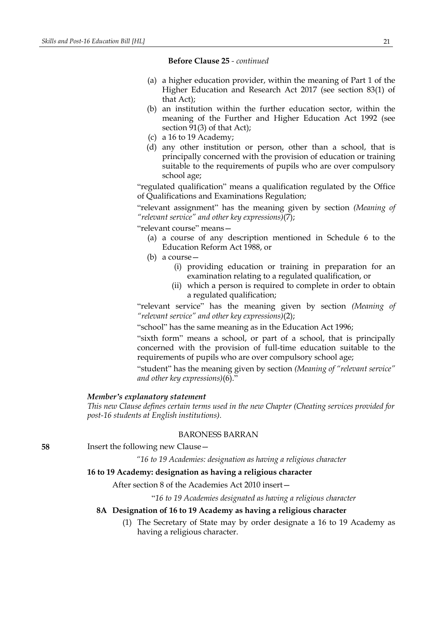- (a) a higher education provider, within the meaning of Part 1 of the Higher Education and Research Act 2017 (see section 83(1) of that Act);
- (b) an institution within the further education sector, within the meaning of the Further and Higher Education Act 1992 (see section 91(3) of that Act);
- (c) a 16 to 19 Academy;
- (d) any other institution or person, other than a school, that is principally concerned with the provision of education or training suitable to the requirements of pupils who are over compulsory school age;

"regulated qualification" means a qualification regulated by the Office of Qualifications and Examinations Regulation;

"relevant assignment" has the meaning given by section *(Meaning of "relevant service" and other key expressions)*(7);

"relevant course" means—

- (a) a course of any description mentioned in Schedule 6 to the Education Reform Act 1988, or
- (b) a course—
	- (i) providing education or training in preparation for an examination relating to a regulated qualification, or
	- (ii) which a person is required to complete in order to obtain a regulated qualification;

"relevant service" has the meaning given by section *(Meaning of "relevant service" and other key expressions)*(2);

"school" has the same meaning as in the Education Act 1996;

"sixth form" means a school, or part of a school, that is principally concerned with the provision of full-time education suitable to the requirements of pupils who are over compulsory school age;

"student" has the meaning given by section *(Meaning of "relevant service" and other key expressions)*(6)."

# *Member's explanatory statement*

*This new Clause defines certain terms used in the new Chapter (Cheating services provided for post-16 students at English institutions).*

### BARONESS BARRAN

**58** Insert the following new Clause—

*"16 to 19 Academies: designation as having a religious character*

# **16 to 19 Academy: designation as having a religious character**

After section 8 of the Academies Act 2010 insert—

"*16 to 19 Academies designated as having a religious character*

### **8A Designation of 16 to 19 Academy as having a religious character**

(1) The Secretary of State may by order designate a 16 to 19 Academy as having a religious character.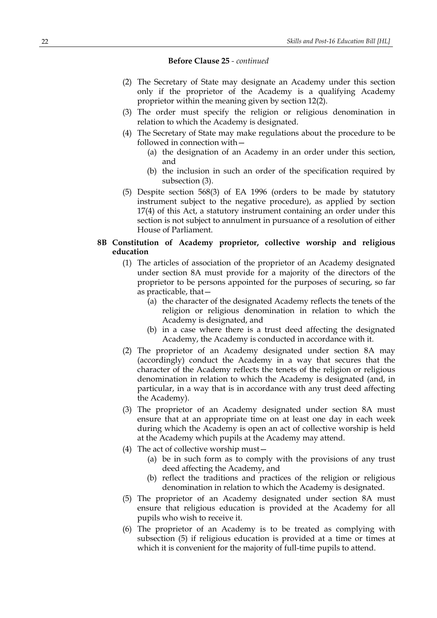- (2) The Secretary of State may designate an Academy under this section only if the proprietor of the Academy is a qualifying Academy proprietor within the meaning given by section 12(2).
- (3) The order must specify the religion or religious denomination in relation to which the Academy is designated.
- (4) The Secretary of State may make regulations about the procedure to be followed in connection with—
	- (a) the designation of an Academy in an order under this section, and
	- (b) the inclusion in such an order of the specification required by subsection (3).
- (5) Despite section 568(3) of EA 1996 (orders to be made by statutory instrument subject to the negative procedure), as applied by section 17(4) of this Act, a statutory instrument containing an order under this section is not subject to annulment in pursuance of a resolution of either House of Parliament.

# **8B Constitution of Academy proprietor, collective worship and religious education**

- (1) The articles of association of the proprietor of an Academy designated under section 8A must provide for a majority of the directors of the proprietor to be persons appointed for the purposes of securing, so far as practicable, that—
	- (a) the character of the designated Academy reflects the tenets of the religion or religious denomination in relation to which the Academy is designated, and
	- (b) in a case where there is a trust deed affecting the designated Academy, the Academy is conducted in accordance with it.
- (2) The proprietor of an Academy designated under section 8A may (accordingly) conduct the Academy in a way that secures that the character of the Academy reflects the tenets of the religion or religious denomination in relation to which the Academy is designated (and, in particular, in a way that is in accordance with any trust deed affecting the Academy).
- (3) The proprietor of an Academy designated under section 8A must ensure that at an appropriate time on at least one day in each week during which the Academy is open an act of collective worship is held at the Academy which pupils at the Academy may attend.
- (4) The act of collective worship must—
	- (a) be in such form as to comply with the provisions of any trust deed affecting the Academy, and
	- (b) reflect the traditions and practices of the religion or religious denomination in relation to which the Academy is designated.
- (5) The proprietor of an Academy designated under section 8A must ensure that religious education is provided at the Academy for all pupils who wish to receive it.
- (6) The proprietor of an Academy is to be treated as complying with subsection (5) if religious education is provided at a time or times at which it is convenient for the majority of full-time pupils to attend.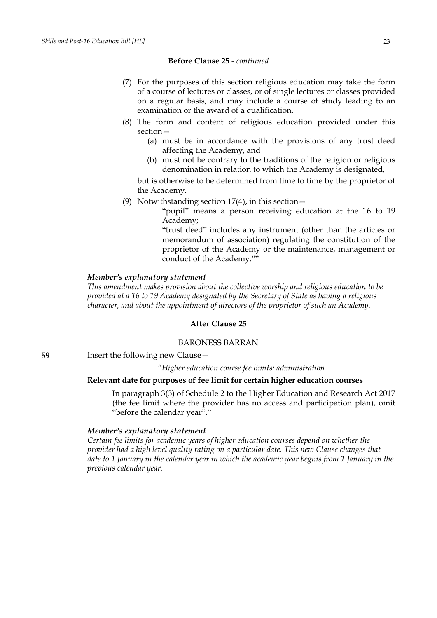- (7) For the purposes of this section religious education may take the form of a course of lectures or classes, or of single lectures or classes provided on a regular basis, and may include a course of study leading to an examination or the award of a qualification.
- (8) The form and content of religious education provided under this section—
	- (a) must be in accordance with the provisions of any trust deed affecting the Academy, and
	- (b) must not be contrary to the traditions of the religion or religious denomination in relation to which the Academy is designated,

but is otherwise to be determined from time to time by the proprietor of the Academy.

(9) Notwithstanding section 17(4), in this section—

"pupil" means a person receiving education at the 16 to 19 Academy;

"trust deed" includes any instrument (other than the articles or memorandum of association) regulating the constitution of the proprietor of the Academy or the maintenance, management or conduct of the Academy.""

### *Member's explanatory statement*

*This amendment makes provision about the collective worship and religious education to be provided at a 16 to 19 Academy designated by the Secretary of State as having a religious character, and about the appointment of directors of the proprietor of such an Academy.*

### **After Clause 25**

#### BARONESS BARRAN

**59** Insert the following new Clause—

*"Higher education course fee limits: administration*

### **Relevant date for purposes of fee limit for certain higher education courses**

In paragraph 3(3) of Schedule 2 to the Higher Education and Research Act 2017 (the fee limit where the provider has no access and participation plan), omit "before the calendar year"."

#### *Member's explanatory statement*

*Certain fee limits for academic years of higher education courses depend on whether the provider had a high level quality rating on a particular date. This new Clause changes that* date to 1 January in the calendar year in which the academic year begins from 1 January in the *previous calendar year.*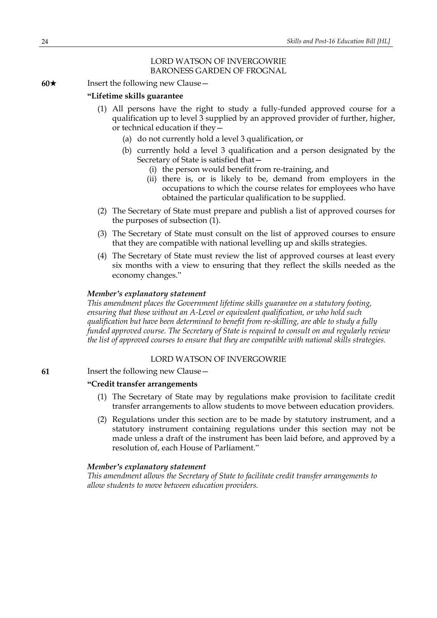# LORD WATSON OF INVERGOWRIE BARONESS GARDEN OF FROGNAL

**60**★ Insert the following new Clause

# **"Lifetime skills guarantee**

- (1) All persons have the right to study a fully-funded approved course for a qualification up to level 3 supplied by an approved provider of further, higher, or technical education if they—
	- (a) do not currently hold a level 3 qualification, or
	- (b) currently hold a level 3 qualification and a person designated by the Secretary of State is satisfied that—
		- (i) the person would benefit from re-training, and
		- (ii) there is, or is likely to be, demand from employers in the occupations to which the course relates for employees who have obtained the particular qualification to be supplied.
- (2) The Secretary of State must prepare and publish a list of approved courses for the purposes of subsection (1).
- (3) The Secretary of State must consult on the list of approved courses to ensure that they are compatible with national levelling up and skills strategies.
- (4) The Secretary of State must review the list of approved courses at least every six months with a view to ensuring that they reflect the skills needed as the economy changes."

# *Member's explanatory statement*

*This amendment places the Government lifetime skills guarantee on a statutory footing, ensuring that those without an A-Level or equivalent qualification, or who hold such qualification but have been determined to benefit from re-skilling, are able to study a fully funded approved course. The Secretary of State is required to consult on and regularly review the list of approved courses to ensure that they are compatible with national skills strategies.*

# LORD WATSON OF INVERGOWRIE

**61** Insert the following new Clause—

### **"Credit transfer arrangements**

- (1) The Secretary of State may by regulations make provision to facilitate credit transfer arrangements to allow students to move between education providers.
- (2) Regulations under this section are to be made by statutory instrument, and a statutory instrument containing regulations under this section may not be made unless a draft of the instrument has been laid before, and approved by a resolution of, each House of Parliament."

### *Member's explanatory statement*

*This amendment allows the Secretary of State to facilitate credit transfer arrangements to allow students to move between education providers.*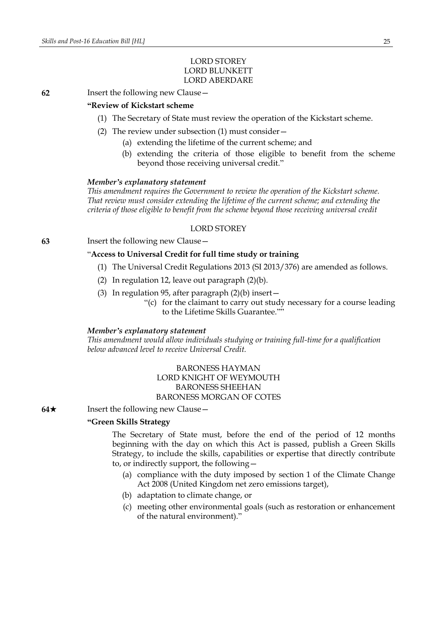# LORD STOREY LORD BLUNKETT LORD ABERDARE

**62** Insert the following new Clause—

### **"Review of Kickstart scheme**

- (1) The Secretary of State must review the operation of the Kickstart scheme.
- (2) The review under subsection (1) must consider—
	- (a) extending the lifetime of the current scheme; and
	- (b) extending the criteria of those eligible to benefit from the scheme beyond those receiving universal credit."

#### *Member's explanatory statement*

*This amendment requires the Government to review the operation of the Kickstart scheme. That review must consider extending the lifetime of the current scheme; and extending the criteria of those eligible to benefit from the scheme beyond those receiving universal credit*

# LORD STOREY

**63** Insert the following new Clause—

# "**Access to Universal Credit for full time study or training**

- (1) The Universal Credit Regulations 2013 (SI 2013/376) are amended as follows.
- (2) In regulation 12, leave out paragraph (2)(b).
- (3) In regulation 95, after paragraph  $(2)(b)$  insert
	- "(c) for the claimant to carry out study necessary for a course leading to the Lifetime Skills Guarantee.""

#### *Member's explanatory statement*

*This amendment would allow individuals studying or training full-time for a qualification below advanced level to receive Universal Credit.*

# BARONESS HAYMAN LORD KNIGHT OF WEYMOUTH BARONESS SHEEHAN BARONESS MORGAN OF COTES

**64**★ Insert the following new Clause

# **"Green Skills Strategy**

The Secretary of State must, before the end of the period of 12 months beginning with the day on which this Act is passed, publish a Green Skills Strategy, to include the skills, capabilities or expertise that directly contribute to, or indirectly support, the following—

- (a) compliance with the duty imposed by section 1 of the Climate Change Act 2008 (United Kingdom net zero emissions target),
- (b) adaptation to climate change, or
- (c) meeting other environmental goals (such as restoration or enhancement of the natural environment)."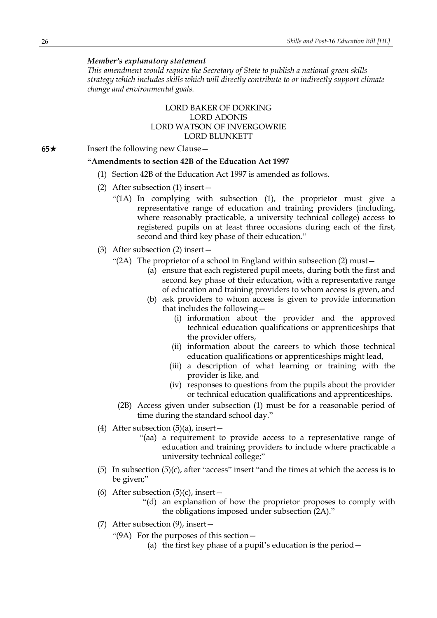*This amendment would require the Secretary of State to publish a national green skills strategy which includes skills which will directly contribute to or indirectly support climate change and environmental goals.*

# LORD BAKER OF DORKING LORD ADONIS LORD WATSON OF INVERGOWRIE LORD BLUNKETT

**65**★ Insert the following new Clause

#### **"Amendments to section 42B of the Education Act 1997**

- (1) Section 42B of the Education Act 1997 is amended as follows.
- (2) After subsection (1) insert—
	- "(1A) In complying with subsection (1), the proprietor must give a representative range of education and training providers (including, where reasonably practicable, a university technical college) access to registered pupils on at least three occasions during each of the first, second and third key phase of their education."
- (3) After subsection (2) insert—
	- "(2A) The proprietor of a school in England within subsection (2) must—
		- (a) ensure that each registered pupil meets, during both the first and second key phase of their education, with a representative range of education and training providers to whom access is given, and
		- (b) ask providers to whom access is given to provide information that includes the following—
			- (i) information about the provider and the approved technical education qualifications or apprenticeships that the provider offers,
			- (ii) information about the careers to which those technical education qualifications or apprenticeships might lead,
			- (iii) a description of what learning or training with the provider is like, and
			- (iv) responses to questions from the pupils about the provider or technical education qualifications and apprenticeships.
		- (2B) Access given under subsection (1) must be for a reasonable period of time during the standard school day."
- (4) After subsection  $(5)(a)$ , insert -
	- "(aa) a requirement to provide access to a representative range of education and training providers to include where practicable a university technical college;"
- (5) In subsection (5)(c), after "access" insert "and the times at which the access is to be given;"
- (6) After subsection  $(5)(c)$ , insert
	- "(d) an explanation of how the proprietor proposes to comply with the obligations imposed under subsection (2A)."
- (7) After subsection (9), insert—
	- "(9A) For the purposes of this section—
		- (a) the first key phase of a pupil's education is the period—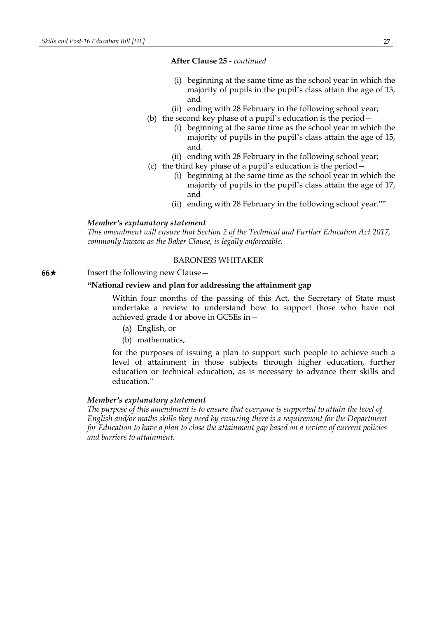### **After Clause 25** *- continued*

- (i) beginning at the same time as the school year in which the majority of pupils in the pupil's class attain the age of 13, and
- (ii) ending with 28 February in the following school year;
- (b) the second key phase of a pupil's education is the period—
	- (i) beginning at the same time as the school year in which the majority of pupils in the pupil's class attain the age of 15, and
	- (ii) ending with 28 February in the following school year;
- (c) the third key phase of a pupil's education is the period—
	- (i) beginning at the same time as the school year in which the majority of pupils in the pupil's class attain the age of 17, and
	- (ii) ending with 28 February in the following school year.""

#### *Member's explanatory statement*

*This amendment will ensure that Section 2 of the Technical and Further Education Act 2017, commonly known as the Baker Clause, is legally enforceable.*

# BARONESS WHITAKER

**66**★ Insert the following new Clause

# **"National review and plan for addressing the attainment gap**

Within four months of the passing of this Act, the Secretary of State must undertake a review to understand how to support those who have not achieved grade 4 or above in GCSEs in—

- (a) English, or
- (b) mathematics,

for the purposes of issuing a plan to support such people to achieve such a level of attainment in those subjects through higher education, further education or technical education, as is necessary to advance their skills and education."

### *Member's explanatory statement*

*The purpose of this amendment is to ensure that everyone is supported to attain the level of English and/or maths skills they need by ensuring there is a requirement for the Department for Education to have a plan to close the attainment gap based on a review of current policies and barriers to attainment.*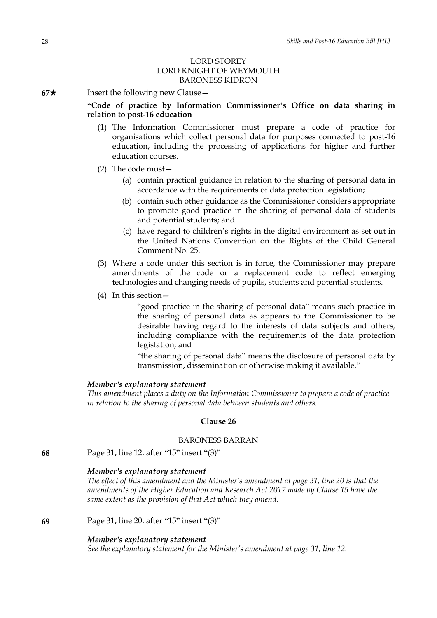# LORD STOREY LORD KNIGHT OF WEYMOUTH BARONESS KIDRON

**67**★ Insert the following new Clause

# **"Code of practice by Information Commissioner's Office on data sharing in relation to post-16 education**

- (1) The Information Commissioner must prepare a code of practice for organisations which collect personal data for purposes connected to post-16 education, including the processing of applications for higher and further education courses.
- (2) The code must—
	- (a) contain practical guidance in relation to the sharing of personal data in accordance with the requirements of data protection legislation;
	- (b) contain such other guidance as the Commissioner considers appropriate to promote good practice in the sharing of personal data of students and potential students; and
	- (c) have regard to children's rights in the digital environment as set out in the United Nations Convention on the Rights of the Child General Comment No. 25.
- (3) Where a code under this section is in force, the Commissioner may prepare amendments of the code or a replacement code to reflect emerging technologies and changing needs of pupils, students and potential students.
- (4) In this section—

"good practice in the sharing of personal data" means such practice in the sharing of personal data as appears to the Commissioner to be desirable having regard to the interests of data subjects and others, including compliance with the requirements of the data protection legislation; and

"the sharing of personal data" means the disclosure of personal data by transmission, dissemination or otherwise making it available."

#### *Member's explanatory statement*

*This amendment places a duty on the Information Commissioner to prepare a code of practice in relation to the sharing of personal data between students and others.*

#### **Clause 26**

#### BARONESS BARRAN

**68** Page 31, line 12, after "15" insert "(3)"

# *Member's explanatory statement*

*The effect of this amendment and the Minister's amendment at page 31, line 20 is that the amendments of the Higher Education and Research Act 2017 made by Clause 15 have the same extent as the provision of that Act which they amend.*

**69** Page 31, line 20, after "15" insert "(3)"

#### *Member's explanatory statement*

*See the explanatory statement for the Minister's amendment at page 31, line 12.*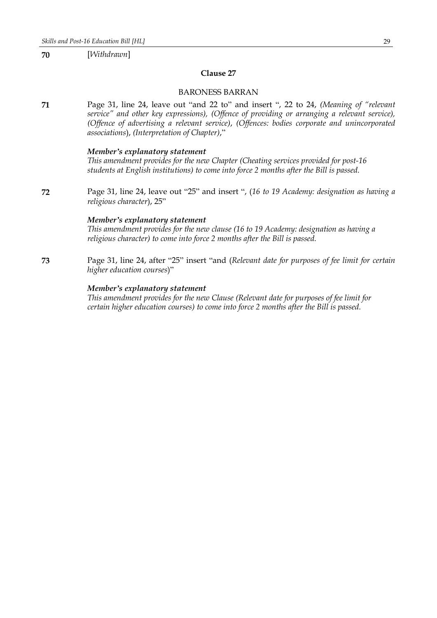**70** [*Withdrawn*]

### **Clause 27**

### BARONESS BARRAN

**71** Page 31, line 24, leave out "and 22 to" and insert ", 22 to 24, *(Meaning of "relevant service" and other key expressions), (Offence of providing or arranging a relevant service), (Offence of advertising a relevant service)*, *(Offences: bodies corporate and unincorporated associations*), *(Interpretation of Chapter)*,"

# *Member's explanatory statement*

*This amendment provides for the new Chapter (Cheating services provided for post-16 students at English institutions) to come into force 2 months after the Bill is passed.*

**72** Page 31, line 24, leave out "25" and insert ", (*16 to 19 Academy: designation as having a religious character*), 25"

### *Member's explanatory statement*

*This amendment provides for the new clause (16 to 19 Academy: designation as having a religious character) to come into force 2 months after the Bill is passed.*

**73** Page 31, line 24, after "25" insert "and (*Relevant date for purposes of fee limit for certain higher education courses*)"

# *Member's explanatory statement*

*This amendment provides for the new Clause (Relevant date for purposes of fee limit for certain higher education courses) to come into force 2 months after the Bill is passed.*